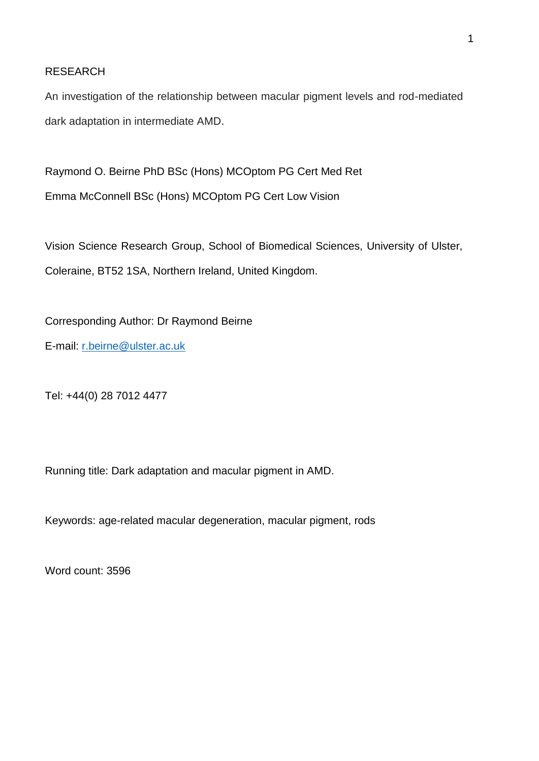# RESEARCH

An investigation of the relationship between macular pigment levels and rod-mediated dark adaptation in intermediate AMD.

Raymond O. Beirne PhD BSc (Hons) MCOptom PG Cert Med Ret Emma McConnell BSc (Hons) MCOptom PG Cert Low Vision

Vision Science Research Group, School of Biomedical Sciences, University of Ulster, Coleraine, BT52 1SA, Northern Ireland, United Kingdom.

Corresponding Author: Dr Raymond Beirne E-mail: [r.beirne@ulster.ac.uk](mailto:r.beirne@ulster.ac.uk)

Tel: +44(0) 28 7012 4477

Running title: Dark adaptation and macular pigment in AMD.

Keywords: age-related macular degeneration, macular pigment, rods

Word count: 3596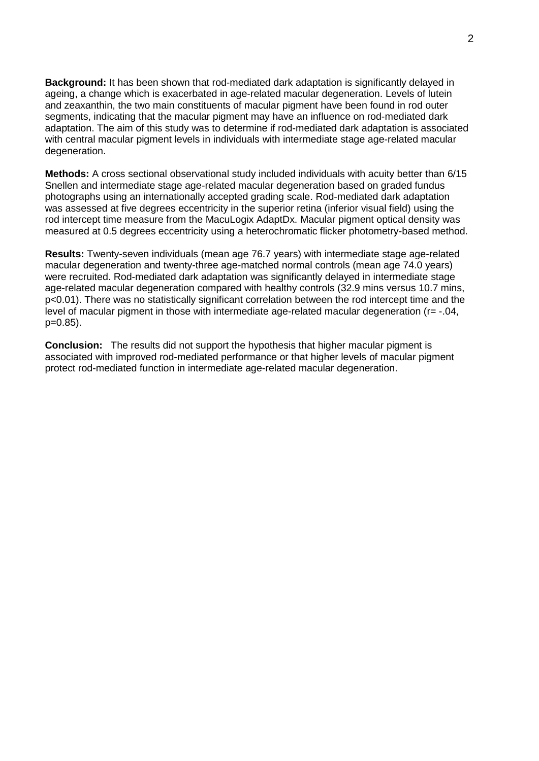**Background:** It has been shown that rod-mediated dark adaptation is significantly delayed in ageing, a change which is exacerbated in age-related macular degeneration. Levels of lutein and zeaxanthin, the two main constituents of macular pigment have been found in rod outer segments, indicating that the macular pigment may have an influence on rod-mediated dark adaptation. The aim of this study was to determine if rod-mediated dark adaptation is associated with central macular pigment levels in individuals with intermediate stage age-related macular degeneration.

**Methods:** A cross sectional observational study included individuals with acuity better than 6/15 Snellen and intermediate stage age-related macular degeneration based on graded fundus photographs using an internationally accepted grading scale. Rod-mediated dark adaptation was assessed at five degrees eccentricity in the superior retina (inferior visual field) using the rod intercept time measure from the MacuLogix AdaptDx. Macular pigment optical density was measured at 0.5 degrees eccentricity using a heterochromatic flicker photometry-based method.

**Results:** Twenty-seven individuals (mean age 76.7 years) with intermediate stage age-related macular degeneration and twenty-three age-matched normal controls (mean age 74.0 years) were recruited. Rod-mediated dark adaptation was significantly delayed in intermediate stage age-related macular degeneration compared with healthy controls (32.9 mins versus 10.7 mins, p<0.01). There was no statistically significant correlation between the rod intercept time and the level of macular pigment in those with intermediate age-related macular degeneration (r= -.04, p=0.85).

**Conclusion:** The results did not support the hypothesis that higher macular pigment is associated with improved rod-mediated performance or that higher levels of macular pigment protect rod-mediated function in intermediate age-related macular degeneration.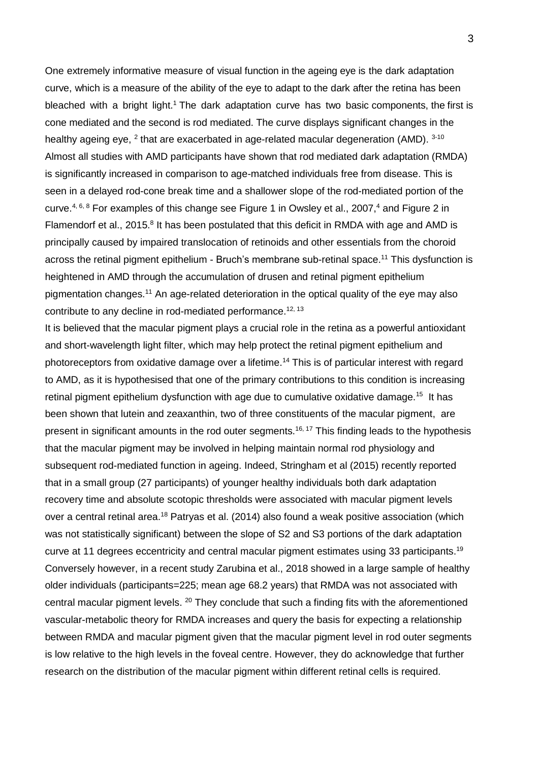One extremely informative measure of visual function in the ageing eye is the dark adaptation curve, which is a measure of the ability of the eye to adapt to the dark after the retina has been bleached with a bright light.<sup>1</sup> The dark adaptation curve has two basic components, the first is cone mediated and the second is rod mediated. The curve displays significant changes in the healthy ageing eye, <sup>2</sup> that are exacerbated in age-related macular degeneration (AMD). <sup>3-10</sup> Almost all studies with AMD participants have shown that rod mediated dark adaptation (RMDA) is significantly increased in comparison to age-matched individuals free from disease. This is seen in a delayed rod-cone break time and a shallower slope of the rod-mediated portion of the curve.<sup>4, 6, 8</sup> For examples of this change see Figure 1 in Owsley et al., 2007,<sup>4</sup> and Figure 2 in Flamendorf et al., 2015.<sup>8</sup> It has been postulated that this deficit in RMDA with age and AMD is principally caused by impaired translocation of retinoids and other essentials from the choroid across the retinal pigment epithelium - Bruch's membrane sub-retinal space.<sup>11</sup> This dysfunction is heightened in AMD through the accumulation of drusen and retinal pigment epithelium pigmentation changes.<sup>11</sup> An age-related deterioration in the optical quality of the eye may also contribute to any decline in rod-mediated performance.<sup>12, 13</sup>

It is believed that the macular pigment plays a crucial role in the retina as a powerful antioxidant and short-wavelength light filter, which may help protect the retinal pigment epithelium and photoreceptors from oxidative damage over a lifetime.<sup>14</sup> This is of particular interest with regard to AMD, as it is hypothesised that one of the primary contributions to this condition is increasing retinal pigment epithelium dysfunction with age due to cumulative oxidative damage.<sup>15</sup> It has been shown that lutein and zeaxanthin, two of three constituents of the macular pigment, are present in significant amounts in the rod outer segments.<sup>16, 17</sup> This finding leads to the hypothesis that the macular pigment may be involved in helping maintain normal rod physiology and subsequent rod-mediated function in ageing. Indeed, Stringham et al (2015) recently reported that in a small group (27 participants) of younger healthy individuals both dark adaptation recovery time and absolute scotopic thresholds were associated with macular pigment levels over a central retinal area.<sup>18</sup> Patryas et al. (2014) also found a weak positive association (which was not statistically significant) between the slope of S2 and S3 portions of the dark adaptation curve at 11 degrees eccentricity and central macular pigment estimates using 33 participants.<sup>19</sup> Conversely however, in a recent study Zarubina et al., 2018 showed in a large sample of healthy older individuals (participants=225; mean age 68.2 years) that RMDA was not associated with central macular pigment levels. <sup>20</sup> They conclude that such a finding fits with the aforementioned vascular-metabolic theory for RMDA increases and query the basis for expecting a relationship between RMDA and macular pigment given that the macular pigment level in rod outer segments is low relative to the high levels in the foveal centre. However, they do acknowledge that further research on the distribution of the macular pigment within different retinal cells is required.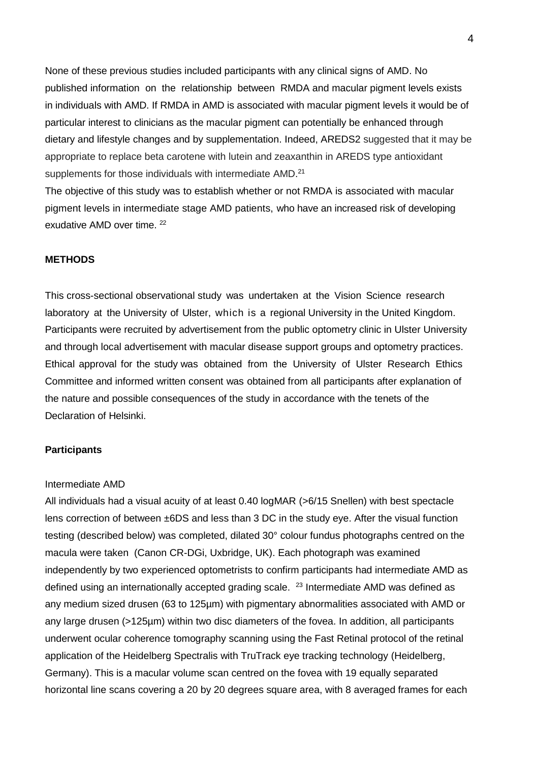None of these previous studies included participants with any clinical signs of AMD. No published information on the relationship between RMDA and macular pigment levels exists in individuals with AMD. If RMDA in AMD is associated with macular pigment levels it would be of particular interest to clinicians as the macular pigment can potentially be enhanced through dietary and lifestyle changes and by supplementation. Indeed, AREDS2 suggested that it may be appropriate to replace beta carotene with lutein and zeaxanthin in AREDS type antioxidant supplements for those individuals with intermediate AMD.<sup>21</sup>

The objective of this study was to establish whether or not RMDA is associated with macular pigment levels in intermediate stage AMD patients, who have an increased risk of developing exudative AMD over time. 22

## **METHODS**

This cross-sectional observational study was undertaken at the Vision Science research laboratory at the University of Ulster, which is a regional University in the United Kingdom. Participants were recruited by advertisement from the public optometry clinic in Ulster University and through local advertisement with macular disease support groups and optometry practices. Ethical approval for the study was obtained from the University of Ulster Research Ethics Committee and informed written consent was obtained from all participants after explanation of the nature and possible consequences of the study in accordance with the tenets of the Declaration of Helsinki.

# **Participants**

#### Intermediate AMD

All individuals had a visual acuity of at least 0.40 logMAR (>6/15 Snellen) with best spectacle lens correction of between ±6DS and less than 3 DC in the study eye. After the visual function testing (described below) was completed, dilated 30° colour fundus photographs centred on the macula were taken (Canon CR-DGi, Uxbridge, UK). Each photograph was examined independently by two experienced optometrists to confirm participants had intermediate AMD as defined using an internationally accepted grading scale.  $23$  Intermediate AMD was defined as any medium sized drusen (63 to 125µm) with pigmentary abnormalities associated with AMD or any large drusen (>125µm) within two disc diameters of the fovea. In addition, all participants underwent ocular coherence tomography scanning using the Fast Retinal protocol of the retinal application of the Heidelberg Spectralis with TruTrack eye tracking technology (Heidelberg, Germany). This is a macular volume scan centred on the fovea with 19 equally separated horizontal line scans covering a 20 by 20 degrees square area, with 8 averaged frames for each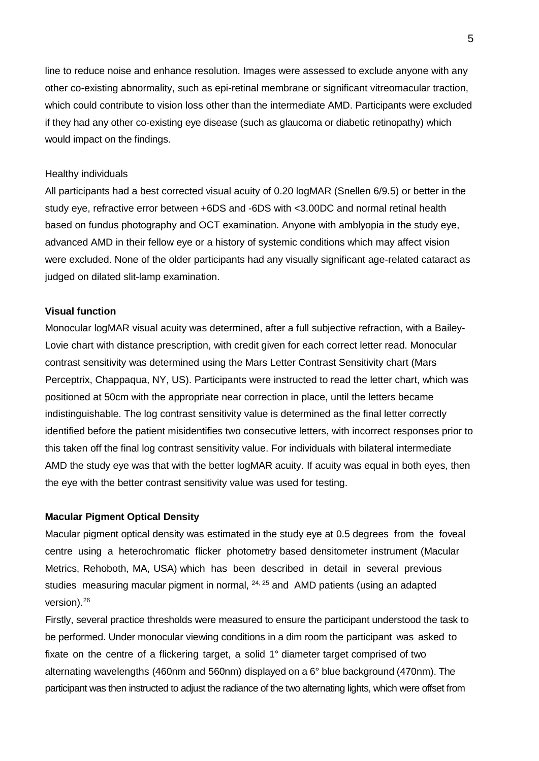line to reduce noise and enhance resolution. Images were assessed to exclude anyone with any other co-existing abnormality, such as epi-retinal membrane or significant vitreomacular traction, which could contribute to vision loss other than the intermediate AMD. Participants were excluded if they had any other co-existing eye disease (such as glaucoma or diabetic retinopathy) which would impact on the findings.

## Healthy individuals

All participants had a best corrected visual acuity of 0.20 logMAR (Snellen 6/9.5) or better in the study eye, refractive error between +6DS and -6DS with <3.00DC and normal retinal health based on fundus photography and OCT examination. Anyone with amblyopia in the study eye, advanced AMD in their fellow eye or a history of systemic conditions which may affect vision were excluded. None of the older participants had any visually significant age-related cataract as judged on dilated slit-lamp examination.

## **Visual function**

Monocular logMAR visual acuity was determined, after a full subjective refraction, with a Bailey-Lovie chart with distance prescription, with credit given for each correct letter read. Monocular contrast sensitivity was determined using the Mars Letter Contrast Sensitivity chart (Mars Perceptrix, Chappaqua, NY, US). Participants were instructed to read the letter chart, which was positioned at 50cm with the appropriate near correction in place, until the letters became indistinguishable. The log contrast sensitivity value is determined as the final letter correctly identified before the patient misidentifies two consecutive letters, with incorrect responses prior to this taken off the final log contrast sensitivity value. For individuals with bilateral intermediate AMD the study eye was that with the better logMAR acuity. If acuity was equal in both eyes, then the eye with the better contrast sensitivity value was used for testing.

#### **Macular Pigment Optical Density**

Macular pigment optical density was estimated in the study eye at 0.5 degrees from the foveal centre using a heterochromatic flicker photometry based densitometer instrument (Macular Metrics, Rehoboth, MA, USA) which has been described in detail in several previous studies measuring macular pigment in normal,  $24, 25$  and AMD patients (using an adapted version).<sup>26</sup>

Firstly, several practice thresholds were measured to ensure the participant understood the task to be performed. Under monocular viewing conditions in a dim room the participant was asked to fixate on the centre of a flickering target, a solid 1° diameter target comprised of two alternating wavelengths (460nm and 560nm) displayed on a 6° blue background (470nm). The participant was then instructed to adjust the radiance of the two alternating lights, which were offset from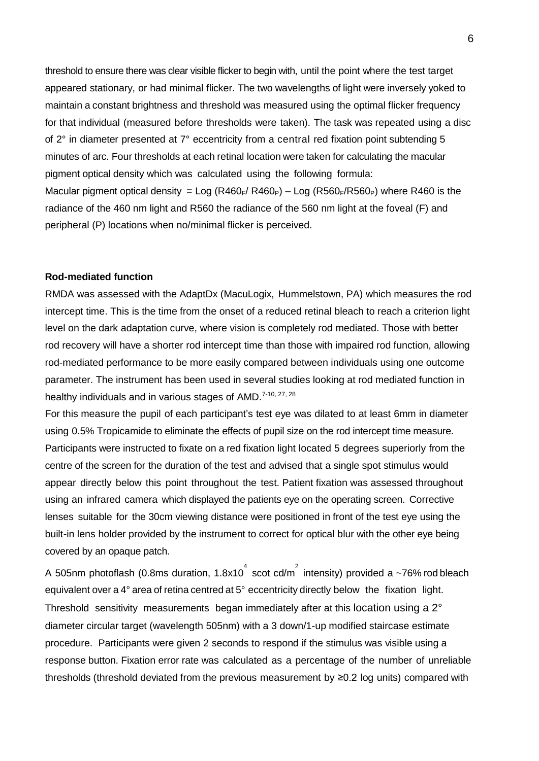threshold to ensure there was clear visible flicker to begin with, until the point where the test target appeared stationary, or had minimal flicker. The two wavelengths of light were inversely yoked to maintain a constant brightness and threshold was measured using the optimal flicker frequency for that individual (measured before thresholds were taken). The task was repeated using a disc of 2° in diameter presented at 7° eccentricity from a central red fixation point subtending 5 minutes of arc. Four thresholds at each retinal location were taken for calculating the macular pigment optical density which was calculated using the following formula: Macular pigment optical density = Log (R460<sub>F</sub>/ R460<sub>P</sub>) – Log (R560<sub>F</sub>/R560<sub>P</sub>) where R460 is the radiance of the 460 nm light and R560 the radiance of the 560 nm light at the foveal (F) and peripheral (P) locations when no/minimal flicker is perceived.

## **Rod-mediated function**

RMDA was assessed with the AdaptDx (MacuLogix, Hummelstown, PA) which measures the rod intercept time. This is the time from the onset of a reduced retinal bleach to reach a criterion light level on the dark adaptation curve, where vision is completely rod mediated. Those with better rod recovery will have a shorter rod intercept time than those with impaired rod function, allowing rod-mediated performance to be more easily compared between individuals using one outcome parameter. The instrument has been used in several studies looking at rod mediated function in healthy individuals and in various stages of AMD.<sup>7-10, 27, 28</sup>

For this measure the pupil of each participant's test eye was dilated to at least 6mm in diameter using 0.5% Tropicamide to eliminate the effects of pupil size on the rod intercept time measure. Participants were instructed to fixate on a red fixation light located 5 degrees superiorly from the centre of the screen for the duration of the test and advised that a single spot stimulus would appear directly below this point throughout the test. Patient fixation was assessed throughout using an infrared camera which displayed the patients eye on the operating screen. Corrective lenses suitable for the 30cm viewing distance were positioned in front of the test eye using the built-in lens holder provided by the instrument to correct for optical blur with the other eye being covered by an opaque patch.

A 505nm photoflash (0.8ms duration, 1.8x10 $^{4}$  scot cd/m $^{2}$  intensity) provided a ~76% rod bleach equivalent over a 4° area of retina centred at 5° eccentricity directly below the fixation light. Threshold sensitivity measurements began immediately after at this location using a 2° diameter circular target (wavelength 505nm) with a 3 down/1-up modified staircase estimate procedure. Participants were given 2 seconds to respond if the stimulus was visible using a response button. Fixation error rate was calculated as a percentage of the number of unreliable thresholds (threshold deviated from the previous measurement by ≥0.2 log units) compared with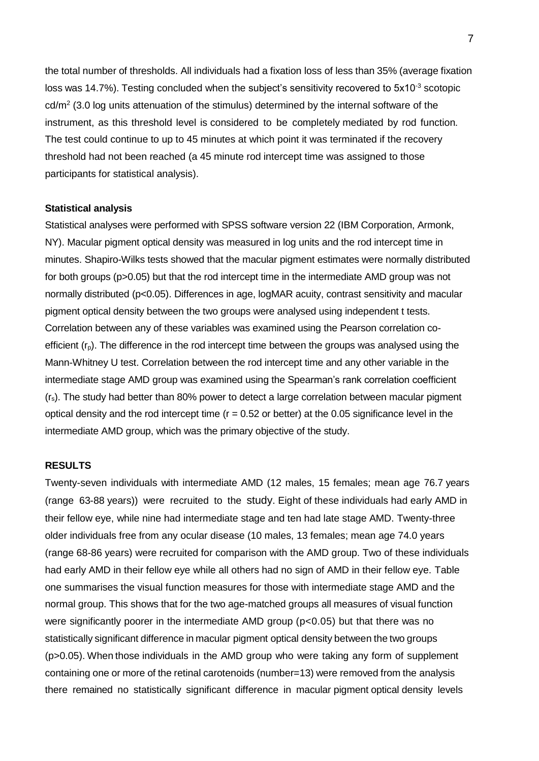the total number of thresholds. All individuals had a fixation loss of less than 35% (average fixation loss was 14.7%). Testing concluded when the subject's sensitivity recovered to  $5x10^{-3}$  scotopic  $\text{cd/m}^2$  (3.0 log units attenuation of the stimulus) determined by the internal software of the instrument, as this threshold level is considered to be completely mediated by rod function. The test could continue to up to 45 minutes at which point it was terminated if the recovery threshold had not been reached (a 45 minute rod intercept time was assigned to those participants for statistical analysis).

#### **Statistical analysis**

Statistical analyses were performed with SPSS software version 22 (IBM Corporation, Armonk, NY). Macular pigment optical density was measured in log units and the rod intercept time in minutes. Shapiro-Wilks tests showed that the macular pigment estimates were normally distributed for both groups (p>0.05) but that the rod intercept time in the intermediate AMD group was not normally distributed (p<0.05). Differences in age, logMAR acuity, contrast sensitivity and macular pigment optical density between the two groups were analysed using independent t tests. Correlation between any of these variables was examined using the Pearson correlation coefficient  $(r<sub>p</sub>)$ . The difference in the rod intercept time between the groups was analysed using the Mann-Whitney U test. Correlation between the rod intercept time and any other variable in the intermediate stage AMD group was examined using the Spearman's rank correlation coefficient  $(r<sub>s</sub>)$ . The study had better than 80% power to detect a large correlation between macular pigment optical density and the rod intercept time ( $r = 0.52$  or better) at the 0.05 significance level in the intermediate AMD group, which was the primary objective of the study.

### **RESULTS**

Twenty-seven individuals with intermediate AMD (12 males, 15 females; mean age 76.7 years (range 63-88 years)) were recruited to the study. Eight of these individuals had early AMD in their fellow eye, while nine had intermediate stage and ten had late stage AMD. Twenty-three older individuals free from any ocular disease (10 males, 13 females; mean age 74.0 years (range 68-86 years) were recruited for comparison with the AMD group. Two of these individuals had early AMD in their fellow eye while all others had no sign of AMD in their fellow eye. Table one summarises the visual function measures for those with intermediate stage AMD and the normal group. This shows that for the two age-matched groups all measures of visual function were significantly poorer in the intermediate AMD group (p<0.05) but that there was no statistically significant difference in macular pigment optical density between the two groups (p>0.05). When those individuals in the AMD group who were taking any form of supplement containing one or more of the retinal carotenoids (number=13) were removed from the analysis there remained no statistically significant difference in macular pigment optical density levels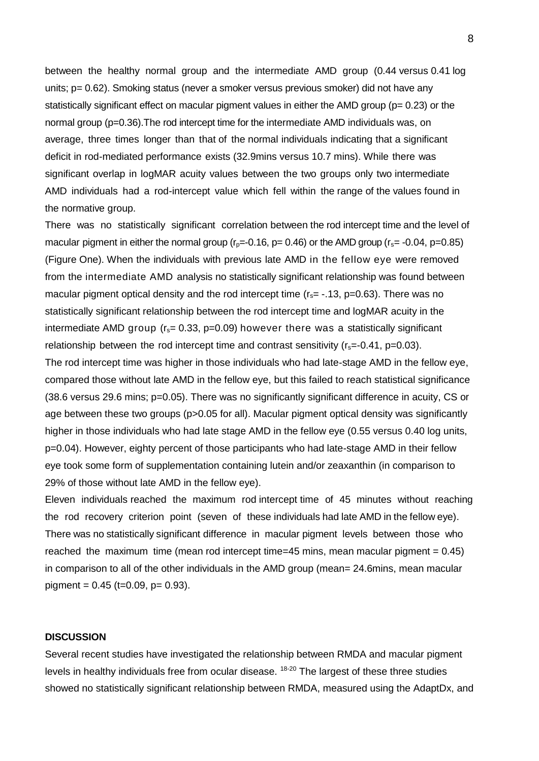between the healthy normal group and the intermediate AMD group (0.44 versus 0.41 log units; p= 0.62). Smoking status (never a smoker versus previous smoker) did not have any statistically significant effect on macular pigment values in either the AMD group ( $p= 0.23$ ) or the normal group (p=0.36).The rod intercept time for the intermediate AMD individuals was, on average, three times longer than that of the normal individuals indicating that a significant deficit in rod-mediated performance exists (32.9mins versus 10.7 mins). While there was significant overlap in logMAR acuity values between the two groups only two intermediate AMD individuals had a rod-intercept value which fell within the range of the values found in the normative group.

There was no statistically significant correlation between the rod intercept time and the level of macular pigment in either the normal group  $(r_0=-0.16, p=0.46)$  or the AMD group  $(r_s=-0.04, p=0.85)$ (Figure One). When the individuals with previous late AMD in the fellow eye were removed from the intermediate AMD analysis no statistically significant relationship was found between macular pigment optical density and the rod intercept time  $(r_s = -.13, p=0.63)$ . There was no statistically significant relationship between the rod intercept time and logMAR acuity in the intermediate AMD group ( $r_s$ = 0.33, p=0.09) however there was a statistically significant relationship between the rod intercept time and contrast sensitivity  $(r_s=-0.41, p=0.03)$ .

The rod intercept time was higher in those individuals who had late-stage AMD in the fellow eye, compared those without late AMD in the fellow eye, but this failed to reach statistical significance (38.6 versus 29.6 mins; p=0.05). There was no significantly significant difference in acuity, CS or age between these two groups (p>0.05 for all). Macular pigment optical density was significantly higher in those individuals who had late stage AMD in the fellow eye (0.55 versus 0.40 log units, p=0.04). However, eighty percent of those participants who had late-stage AMD in their fellow eye took some form of supplementation containing lutein and/or zeaxanthin (in comparison to 29% of those without late AMD in the fellow eye).

Eleven individuals reached the maximum rod intercept time of 45 minutes without reaching the rod recovery criterion point (seven of these individuals had late AMD in the fellow eye). There was no statistically significant difference in macular pigment levels between those who reached the maximum time (mean rod intercept time=45 mins, mean macular pigment =  $0.45$ ) in comparison to all of the other individuals in the AMD group (mean= 24.6mins, mean macular pigment =  $0.45$  (t= $0.09$ , p=  $0.93$ ).

#### **DISCUSSION**

Several recent studies have investigated the relationship between RMDA and macular pigment levels in healthy individuals free from ocular disease. <sup>18-20</sup> The largest of these three studies showed no statistically significant relationship between RMDA, measured using the AdaptDx, and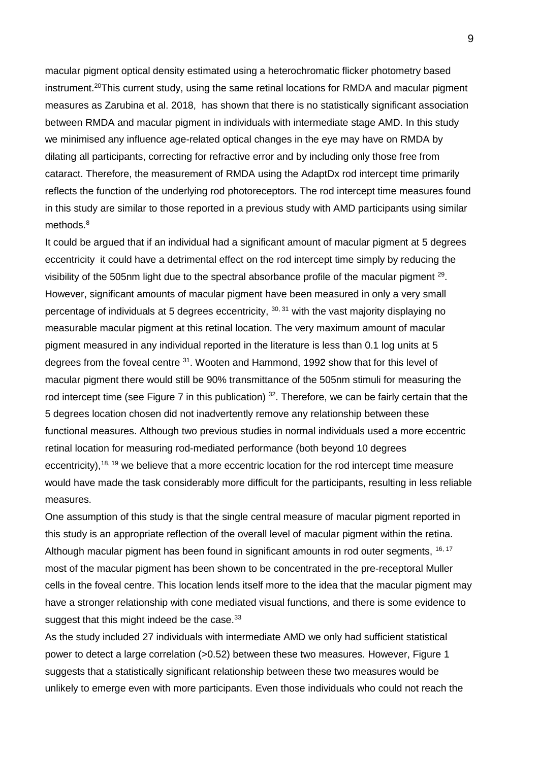macular pigment optical density estimated using a heterochromatic flicker photometry based instrument.<sup>20</sup>This current study, using the same retinal locations for RMDA and macular pigment measures as Zarubina et al. 2018, has shown that there is no statistically significant association between RMDA and macular pigment in individuals with intermediate stage AMD. In this study we minimised any influence age-related optical changes in the eye may have on RMDA by dilating all participants, correcting for refractive error and by including only those free from cataract. Therefore, the measurement of RMDA using the AdaptDx rod intercept time primarily reflects the function of the underlying rod photoreceptors. The rod intercept time measures found in this study are similar to those reported in a previous study with AMD participants using similar methods.<sup>8</sup>

It could be argued that if an individual had a significant amount of macular pigment at 5 degrees eccentricity it could have a detrimental effect on the rod intercept time simply by reducing the visibility of the 505nm light due to the spectral absorbance profile of the macular pigment  $29$ . However, significant amounts of macular pigment have been measured in only a very small percentage of individuals at 5 degrees eccentricity,  $30, 31$  with the vast majority displaying no measurable macular pigment at this retinal location. The very maximum amount of macular pigment measured in any individual reported in the literature is less than 0.1 log units at 5 degrees from the foveal centre <sup>31</sup>. Wooten and Hammond, 1992 show that for this level of macular pigment there would still be 90% transmittance of the 505nm stimuli for measuring the rod intercept time (see Figure 7 in this publication) <sup>32</sup>. Therefore, we can be fairly certain that the 5 degrees location chosen did not inadvertently remove any relationship between these functional measures. Although two previous studies in normal individuals used a more eccentric retinal location for measuring rod-mediated performance (both beyond 10 degrees eccentricity),  $18, 19$  we believe that a more eccentric location for the rod intercept time measure would have made the task considerably more difficult for the participants, resulting in less reliable measures.

One assumption of this study is that the single central measure of macular pigment reported in this study is an appropriate reflection of the overall level of macular pigment within the retina. Although macular pigment has been found in significant amounts in rod outer segments, <sup>16, 17</sup> most of the macular pigment has been shown to be concentrated in the pre-receptoral Muller cells in the foveal centre. This location lends itself more to the idea that the macular pigment may have a stronger relationship with cone mediated visual functions, and there is some evidence to suggest that this might indeed be the case.<sup>33</sup>

As the study included 27 individuals with intermediate AMD we only had sufficient statistical power to detect a large correlation (>0.52) between these two measures. However, Figure 1 suggests that a statistically significant relationship between these two measures would be unlikely to emerge even with more participants. Even those individuals who could not reach the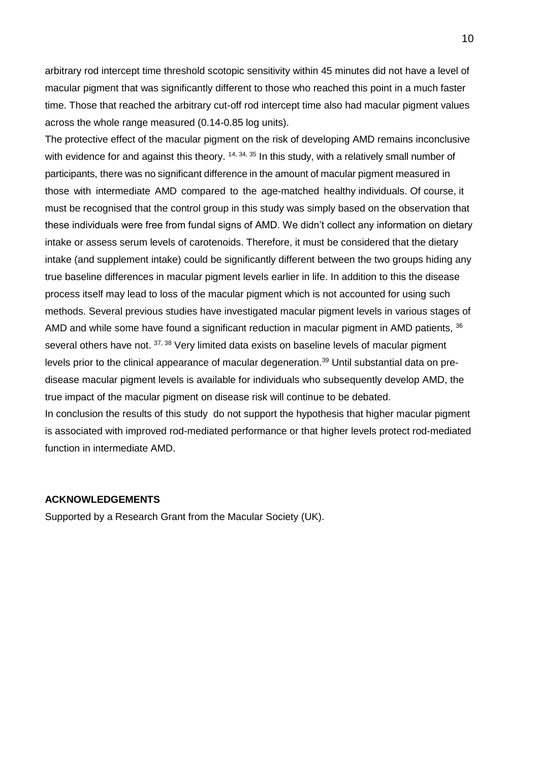arbitrary rod intercept time threshold scotopic sensitivity within 45 minutes did not have a level of macular pigment that was significantly different to those who reached this point in a much faster time. Those that reached the arbitrary cut-off rod intercept time also had macular pigment values across the whole range measured (0.14-0.85 log units).

The protective effect of the macular pigment on the risk of developing AMD remains inconclusive with evidence for and against this theory.  $14, 34, 35$  In this study, with a relatively small number of participants, there was no significant difference in the amount of macular pigment measured in those with intermediate AMD compared to the age-matched healthy individuals. Of course, it must be recognised that the control group in this study was simply based on the observation that these individuals were free from fundal signs of AMD. We didn't collect any information on dietary intake or assess serum levels of carotenoids. Therefore, it must be considered that the dietary intake (and supplement intake) could be significantly different between the two groups hiding any true baseline differences in macular pigment levels earlier in life. In addition to this the disease process itself may lead to loss of the macular pigment which is not accounted for using such methods. Several previous studies have investigated macular pigment levels in various stages of AMD and while some have found a significant reduction in macular pigment in AMD patients, <sup>36</sup> several others have not. <sup>37, 38</sup> Very limited data exists on baseline levels of macular pigment levels prior to the clinical appearance of macular degeneration.<sup>39</sup> Until substantial data on predisease macular pigment levels is available for individuals who subsequently develop AMD, the true impact of the macular pigment on disease risk will continue to be debated. In conclusion the results of this study do not support the hypothesis that higher macular pigment

is associated with improved rod-mediated performance or that higher levels protect rod-mediated function in intermediate AMD.

## **ACKNOWLEDGEMENTS**

Supported by a Research Grant from the Macular Society (UK).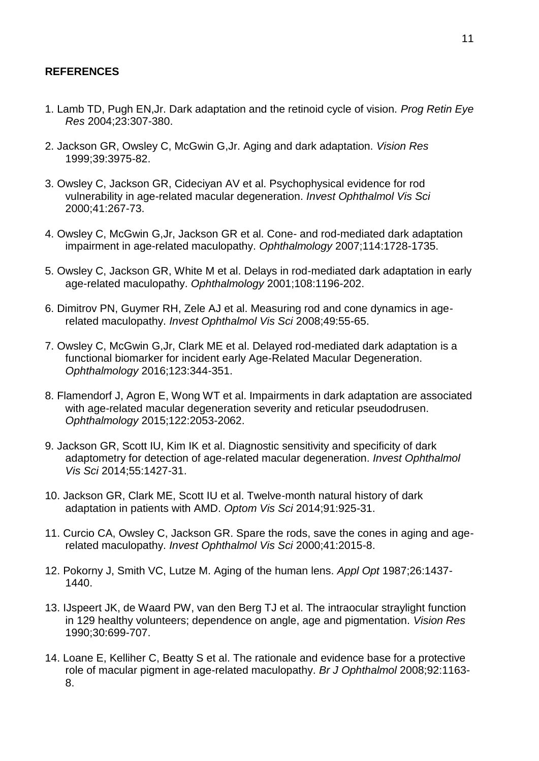# **REFERENCES**

- 1. Lamb TD, Pugh EN,Jr. Dark adaptation and the retinoid cycle of vision. *Prog Retin Eye Res* 2004;23:307-380.
- 2. Jackson GR, Owsley C, McGwin G,Jr. Aging and dark adaptation. *Vision Res*  1999;39:3975-82.
- 3. Owsley C, Jackson GR, Cideciyan AV et al. Psychophysical evidence for rod vulnerability in age-related macular degeneration. *Invest Ophthalmol Vis Sci* 2000;41:267-73.
- 4. Owsley C, McGwin G,Jr, Jackson GR et al. Cone- and rod-mediated dark adaptation impairment in age-related maculopathy. *Ophthalmology* 2007;114:1728-1735.
- 5. Owsley C, Jackson GR, White M et al. Delays in rod-mediated dark adaptation in early age-related maculopathy. *Ophthalmology* 2001;108:1196-202.
- 6. Dimitrov PN, Guymer RH, Zele AJ et al. Measuring rod and cone dynamics in agerelated maculopathy. *Invest Ophthalmol Vis Sci* 2008;49:55-65.
- 7. Owsley C, McGwin G,Jr, Clark ME et al. Delayed rod-mediated dark adaptation is a functional biomarker for incident early Age-Related Macular Degeneration. *Ophthalmology* 2016;123:344-351.
- 8. Flamendorf J, Agron E, Wong WT et al. Impairments in dark adaptation are associated with age-related macular degeneration severity and reticular pseudodrusen. *Ophthalmology* 2015;122:2053-2062.
- 9. Jackson GR, Scott IU, Kim IK et al. Diagnostic sensitivity and specificity of dark adaptometry for detection of age-related macular degeneration. *Invest Ophthalmol Vis Sci* 2014;55:1427-31.
- 10. Jackson GR, Clark ME, Scott IU et al. Twelve-month natural history of dark adaptation in patients with AMD. *Optom Vis Sci* 2014;91:925-31.
- 11. Curcio CA, Owsley C, Jackson GR. Spare the rods, save the cones in aging and agerelated maculopathy. *Invest Ophthalmol Vis Sci* 2000;41:2015-8.
- 12. Pokorny J, Smith VC, Lutze M. Aging of the human lens. *Appl Opt* 1987;26:1437- 1440.
- 13. IJspeert JK, de Waard PW, van den Berg TJ et al. The intraocular straylight function in 129 healthy volunteers; dependence on angle, age and pigmentation. *Vision Res* 1990;30:699-707.
- 14. Loane E, Kelliher C, Beatty S et al. The rationale and evidence base for a protective role of macular pigment in age-related maculopathy. *Br J Ophthalmol* 2008;92:1163- 8.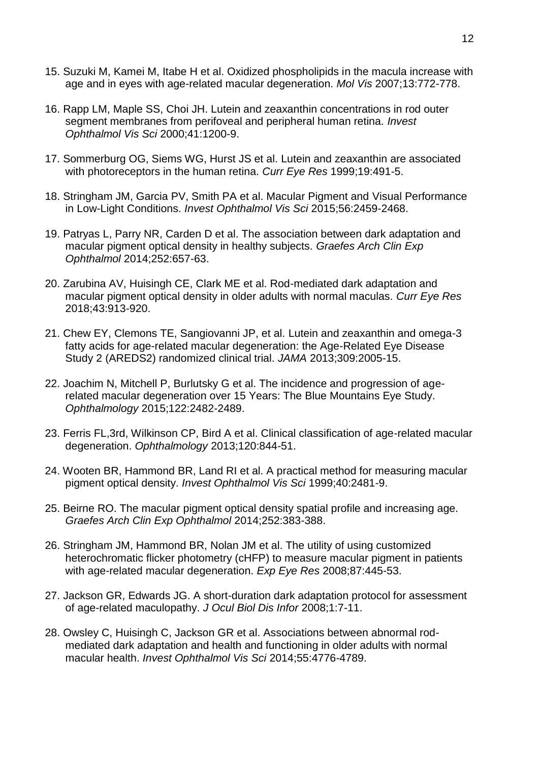- 15. Suzuki M, Kamei M, Itabe H et al. Oxidized phospholipids in the macula increase with age and in eyes with age-related macular degeneration. *Mol Vis* 2007;13:772-778.
- 16. Rapp LM, Maple SS, Choi JH. Lutein and zeaxanthin concentrations in rod outer segment membranes from perifoveal and peripheral human retina. *Invest Ophthalmol Vis Sci* 2000;41:1200-9.
- 17. Sommerburg OG, Siems WG, Hurst JS et al. Lutein and zeaxanthin are associated with photoreceptors in the human retina. *Curr Eye Res* 1999;19:491-5.
- 18. Stringham JM, Garcia PV, Smith PA et al. Macular Pigment and Visual Performance in Low-Light Conditions. *Invest Ophthalmol Vis Sci* 2015;56:2459-2468.
- 19. Patryas L, Parry NR, Carden D et al. The association between dark adaptation and macular pigment optical density in healthy subjects. *Graefes Arch Clin Exp Ophthalmol* 2014;252:657-63.
- 20. Zarubina AV, Huisingh CE, Clark ME et al. Rod-mediated dark adaptation and macular pigment optical density in older adults with normal maculas. *Curr Eye Res* 2018;43:913-920.
- 21. Chew EY, Clemons TE, Sangiovanni JP, et al. Lutein and zeaxanthin and omega-3 fatty acids for age-related macular degeneration: the Age-Related Eye Disease Study 2 (AREDS2) randomized clinical trial. *JAMA* 2013;309:2005-15.
- 22. Joachim N, Mitchell P, Burlutsky G et al. The incidence and progression of agerelated macular degeneration over 15 Years: The Blue Mountains Eye Study. *Ophthalmology* 2015;122:2482-2489.
- 23. Ferris FL,3rd, Wilkinson CP, Bird A et al. Clinical classification of age-related macular degeneration. *Ophthalmology* 2013;120:844-51.
- 24. Wooten BR, Hammond BR, Land RI et al. A practical method for measuring macular pigment optical density. *Invest Ophthalmol Vis Sci* 1999;40:2481-9.
- 25. Beirne RO. The macular pigment optical density spatial profile and increasing age. *Graefes Arch Clin Exp Ophthalmol* 2014;252:383-388.
- 26. Stringham JM, Hammond BR, Nolan JM et al. The utility of using customized heterochromatic flicker photometry (cHFP) to measure macular pigment in patients with age-related macular degeneration. *Exp Eye Res* 2008;87:445-53.
- 27. Jackson GR, Edwards JG. A short-duration dark adaptation protocol for assessment of age-related maculopathy. *J Ocul Biol Dis Infor* 2008;1:7-11.
- 28. Owsley C, Huisingh C, Jackson GR et al. Associations between abnormal rodmediated dark adaptation and health and functioning in older adults with normal macular health. *Invest Ophthalmol Vis Sci* 2014;55:4776-4789.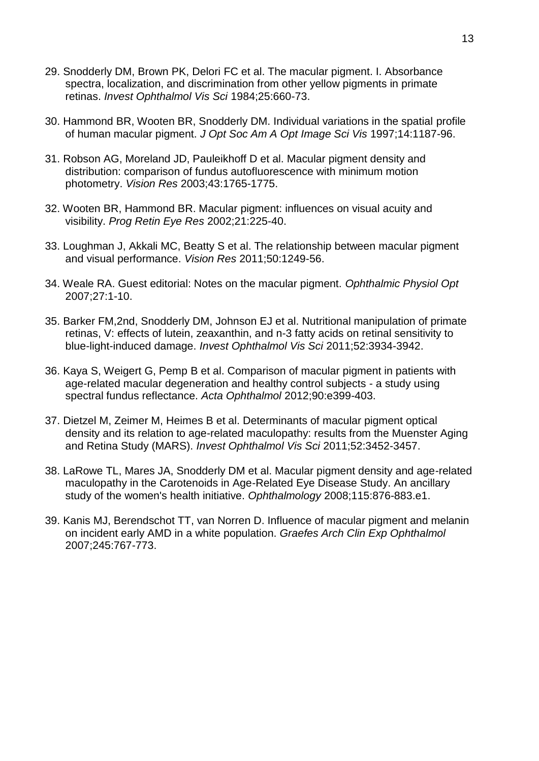- 29. Snodderly DM, Brown PK, Delori FC et al. The macular pigment. I. Absorbance spectra, localization, and discrimination from other yellow pigments in primate retinas. *Invest Ophthalmol Vis Sci* 1984;25:660-73.
- 30. Hammond BR, Wooten BR, Snodderly DM. Individual variations in the spatial profile of human macular pigment. *J Opt Soc Am A Opt Image Sci Vis* 1997;14:1187-96.
- 31. Robson AG, Moreland JD, Pauleikhoff D et al. Macular pigment density and distribution: comparison of fundus autofluorescence with minimum motion photometry. *Vision Res* 2003;43:1765-1775.
- 32. Wooten BR, Hammond BR. Macular pigment: influences on visual acuity and visibility. *Prog Retin Eye Res* 2002;21:225-40.
- 33. Loughman J, Akkali MC, Beatty S et al. The relationship between macular pigment and visual performance. *Vision Res* 2011;50:1249-56.
- 34. Weale RA. Guest editorial: Notes on the macular pigment. *Ophthalmic Physiol Opt*  2007;27:1-10.
- 35. Barker FM,2nd, Snodderly DM, Johnson EJ et al. Nutritional manipulation of primate retinas, V: effects of lutein, zeaxanthin, and n-3 fatty acids on retinal sensitivity to blue-light-induced damage. *Invest Ophthalmol Vis Sci* 2011;52:3934-3942.
- 36. Kaya S, Weigert G, Pemp B et al. Comparison of macular pigment in patients with age-related macular degeneration and healthy control subjects - a study using spectral fundus reflectance. *Acta Ophthalmol* 2012;90:e399-403.
- 37. Dietzel M, Zeimer M, Heimes B et al. Determinants of macular pigment optical density and its relation to age-related maculopathy: results from the Muenster Aging and Retina Study (MARS). *Invest Ophthalmol Vis Sci* 2011;52:3452-3457.
- 38. LaRowe TL, Mares JA, Snodderly DM et al. Macular pigment density and age-related maculopathy in the Carotenoids in Age-Related Eye Disease Study. An ancillary study of the women's health initiative. *Ophthalmology* 2008;115:876-883.e1.
- 39. Kanis MJ, Berendschot TT, van Norren D. Influence of macular pigment and melanin on incident early AMD in a white population. *Graefes Arch Clin Exp Ophthalmol*  2007;245:767-773.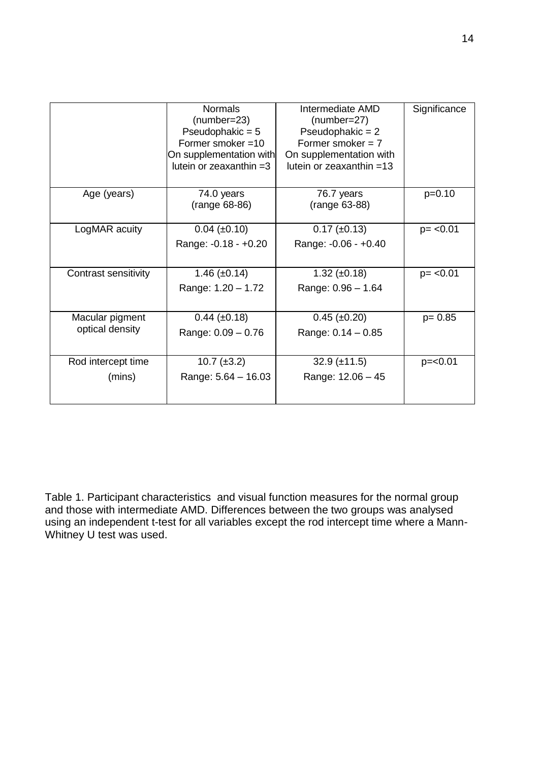|                                    | <b>Normals</b><br>$(number=23)$<br>Pseudophakic = $5$<br>Former smoker =10<br>On supplementation with<br>lutein or zeaxanthin $=3$ | Intermediate AMD<br>$(number=27)$<br>Pseudophakic = $2$<br>Former smoker $= 7$<br>On supplementation with<br>lutein or zeaxanthin $=13$ | Significance |
|------------------------------------|------------------------------------------------------------------------------------------------------------------------------------|-----------------------------------------------------------------------------------------------------------------------------------------|--------------|
| Age (years)                        | 74.0 years<br>(range 68-86)                                                                                                        | 76.7 years<br>(range 63-88)                                                                                                             | $p=0.10$     |
| LogMAR acuity                      | $0.04 \ (\pm 0.10)$<br>Range: -0.18 - +0.20                                                                                        | $0.17 \ (\pm 0.13)$<br>Range: -0.06 - +0.40                                                                                             | $p = < 0.01$ |
| Contrast sensitivity               | 1.46 $(\pm 0.14)$<br>Range: 1.20 - 1.72                                                                                            | $1.32 \ (\pm 0.18)$<br>Range: $0.96 - 1.64$                                                                                             | $p = < 0.01$ |
| Macular pigment<br>optical density | $0.44 \ (\pm 0.18)$<br>Range: $0.09 - 0.76$                                                                                        | $0.45 \ (\pm 0.20)$<br>Range: $0.14 - 0.85$                                                                                             | $p = 0.85$   |
| Rod intercept time<br>(mins)       | $10.7 \ (\pm 3.2)$<br>Range: $5.64 - 16.03$                                                                                        | $32.9 \ (\pm 11.5)$<br>Range: 12.06 - 45                                                                                                | $p = < 0.01$ |

Table 1. Participant characteristics and visual function measures for the normal group and those with intermediate AMD. Differences between the two groups was analysed using an independent t-test for all variables except the rod intercept time where a Mann-Whitney U test was used.